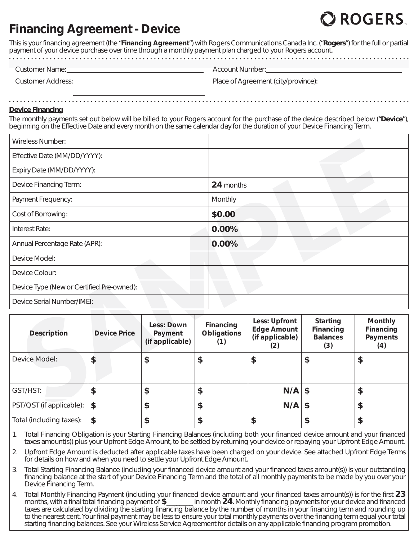# **ROGERS**

## **Financing Agreement - Device**

This is your financing agreement (the "**Financing Agreement**") with Rogers Communications Canada Inc. ("**Rogers**") for the full or partial payment of your device purchase over time through a monthly payment plan charged to your Rogers account.

Customer Name: Account Number:

Customer Address: Place of Agreement (city/province):

#### **Device Financing**

The monthly payments set out below will be billed to your Rogers account for the purchase of the device described below ("**Device**"), beginning on the Effective Date and every month on the same calendar day for the duration of your Device Financing Term.

| Wireless Number:                          |           |
|-------------------------------------------|-----------|
| Effective Date (MM/DD/YYYY):              |           |
| Expiry Date (MM/DD/YYYY):                 |           |
| Device Financing Term:                    | 24 months |
| Payment Frequency:                        | Monthly   |
| Cost of Borrowing:                        | \$0.00    |
| Interest Rate:                            | 0.00%     |
| Annual Percentage Rate (APR):             | 0.00%     |
| Device Model:                             |           |
| Device Colour:                            |           |
| Device Type (New or Certified Pre-owned): |           |
| Device Serial Number/IMEI:                |           |

| <b>Description</b>       | <b>Device Price</b>       | Less: Down<br>Payment<br>(if applicable) | <b>Financing</b><br><b>Obligations</b><br>(1) | Less: Upfront<br><b>Edge Amount</b><br>(if applicable)<br>(2) | <b>Starting</b><br><b>Financing</b><br><b>Balances</b><br>(3) | <b>Monthly</b><br>Financing<br><b>Payments</b><br>(4) |
|--------------------------|---------------------------|------------------------------------------|-----------------------------------------------|---------------------------------------------------------------|---------------------------------------------------------------|-------------------------------------------------------|
| Device Model:            | \$                        | \$                                       | \$                                            | \$                                                            | \$                                                            | \$                                                    |
| GST/HST:                 | \$                        | \$                                       | \$                                            | $N/A$ \$                                                      |                                                               | \$                                                    |
| PST/QST (if applicable): | $\boldsymbol{\mathsf{s}}$ | \$                                       | \$                                            | $N/A$ \$                                                      |                                                               | \$                                                    |
| Total (including taxes): | $\boldsymbol{\mathsf{S}}$ | \$                                       | \$                                            |                                                               | \$                                                            | \$                                                    |

1. Total Financing Obligation is your Starting Financing Balances (including both your financed device amount and your financed taxes amount(s)) plus your Upfront Edge Amount, to be settled by returning your device or repaying your Upfront Edge Amount.

2. Upfront Edge Amount is deducted after applicable taxes have been charged on your device. See attached Upfront Edge Terms for details on how and when you need to settle your Upfront Edge Amount.

3. Total Starting Financing Balance (including your financed device amount and your financed taxes amount(s)) is your outstanding financing balance at the start of your Device Financing Term and the total of all monthly payments to be made by you over your Device Financing Term.

4. Total Monthly Financing Payment (including your financed device amount and your financed taxes amount(s)) is for the first **23** months, with a final total financing payment of **\$**\_\_\_\_\_\_\_\_ in month **24**. Monthly financing payments for your device and financed taxes are calculated by dividing the starting financing balance by the number of months in your financing term and rounding up to the nearest cent. Your final payment may be less to ensure your total monthly payments over the financing term equal your total starting financing balances. See your Wireless Service Agreement for details on any applicable financing program promotion.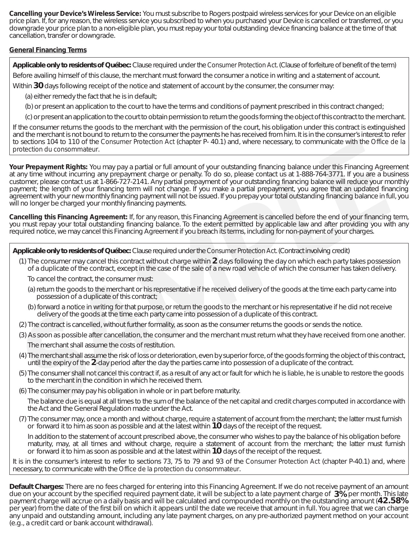**Cancelling your Device's Wireless Service:** You must subscribe to Rogers postpaid wireless services for your Device on an eligible price plan. If, for any reason, the wireless service you subscribed to when you purchased your Device is cancelled or transferred, or you downgrade your price plan to a non-eligible plan, you must repay your total outstanding device financing balance at the time of that cancellation, transfer or downgrade.

### **General Financing Terms**

**Applicable only to residents of Québec:** Clause required under the *Consumer Protection Act*. (Clause of forfeiture of benefit of the term) Before availing himself of this clause, the merchant must forward the consumer a notice in writing and a statement of account.

Within **30** days following receipt of the notice and statement of account by the consumer, the consumer may:

- (a) either remedy the fact that he is in default;
- (b) or present an application to the court to have the terms and conditions of payment prescribed in this contract changed;

(c) or present an application to the court to obtain permission to return the goods forming the object of this contract to the merchant.

If the consumer returns the goods to the merchant with the permission of the court, his obligation under this contract is extinguished and the merchant is not bound to return to the consumer the payments he has received from him. It is in the consumer's interest to refer to sections 104 to 110 of the *Consumer Protection Act* (chapter P- 40.1) and, where necessary, to communicate with the *Office de la protection du consommateur*.

**Your Prepayment Rights:** You may pay a partial or full amount of your outstanding financing balance under this Financing Agreement at any time without incurring any prepayment charge or penalty. To do so, please contact us at 1-888-764-3771. If you are a business customer, please contact us at 1-866-727-2141. Any partial prepayment of your outstanding financing balance will reduce your monthly payment; the length of your financing term will not change. If you make a partial prepayment, you agree that an updated financing agreement with your new monthly financing payment will not be issued. If you prepay your total outstanding financing balance in full, you will no longer be charged your monthly financing payments.

**Cancelling this Financing Agreement:** If, for any reason, this Financing Agreement is cancelled before the end of your financing term, you must repay your total outstanding financing balance. To the extent permitted by applicable law and after providing you with any required notice, we may cancel this Financing Agreement if you breach its terms, including for non-payment of your charges.

**Applicable only to residents of Québec:** Clause required under the *Consumer Protection Act*. (Contract involving credit)

 (1)The consumer may cancel this contract without charge within **2** days following the day on which each party takes possession of a duplicate of the contract, except in the case of the sale of a new road vehicle of which the consumer has taken delivery.

To cancel the contract, the consumer must:

- *(a)* return the goods to the merchant or his representative if he received delivery of the goods at the time each party came into possession of a duplicate of this contract;
- *(b)* forward a notice in writing for that purpose, or return the goods to the merchant or his representative if he did not receive delivery of the goods at the time each party came into possession of a duplicate of this contract.
- (2) The contract is cancelled, without further formality, as soon as the consumer returns the goods or sends the notice.
- (3) As soon as possible after cancellation, the consumer and the merchant must return what they have received from one another. The merchant shall assume the costs of restitution.
- (4) The merchant shall assume the risk of loss or deterioration, even by superior force, of the goods forming the object of this contract, until the expiry of the **2**-day period after the day the parties came into possession of a duplicate of the contract.
- (5) The consumer shall not cancel this contract if, as a result of any act or fault for which he is liable, he is unable to restore the goods to the merchant in the condition in which he received them.
- (6) The consumer may pay his obligation in whole or in part before maturity.

 The balance due is equal at all times to the sum of the balance of the net capital and credit charges computed in accordance with the Act and the General Regulation made under the Act.

 (7) The consumer may, once a month and without charge, require a statement of account from the merchant; the latter must furnish or forward it to him as soon as possible and at the latest within **10** days of the receipt of the request.

 In addition to the statement of account prescribed above, the consumer who wishes to pay the balance of his obligation before maturity, may, at all times and without charge, require a statement of account from the merchant; the latter must furnish or forward it to him as soon as possible and at the latest within **10** days of the receipt of the request.

It is in the consumer's interest to refer to sections 73, 75 to 79 and 93 of the *Consumer Protection Act* (chapter P-40.1) and, where necessary, to communicate with the *Office de la protection du consommateur*.

**Default Charges:** There are no fees charged for entering into this Financing Agreement. If we do not receive payment of an amount due on your account by the specified required payment date, it will be subject to a late payment charge of **3%** per month. This late payment charge will accrue on a daily basis and will be calculated and compounded monthly on the outstanding amount (**42.58%** per year) from the date of the first bill on which it appears until the date we receive that amount in full. You agree that we can charge any unpaid and outstanding amount, including any late payment charges, on any pre-authorized payment method on your account (e.g., a credit card or bank account withdrawal).